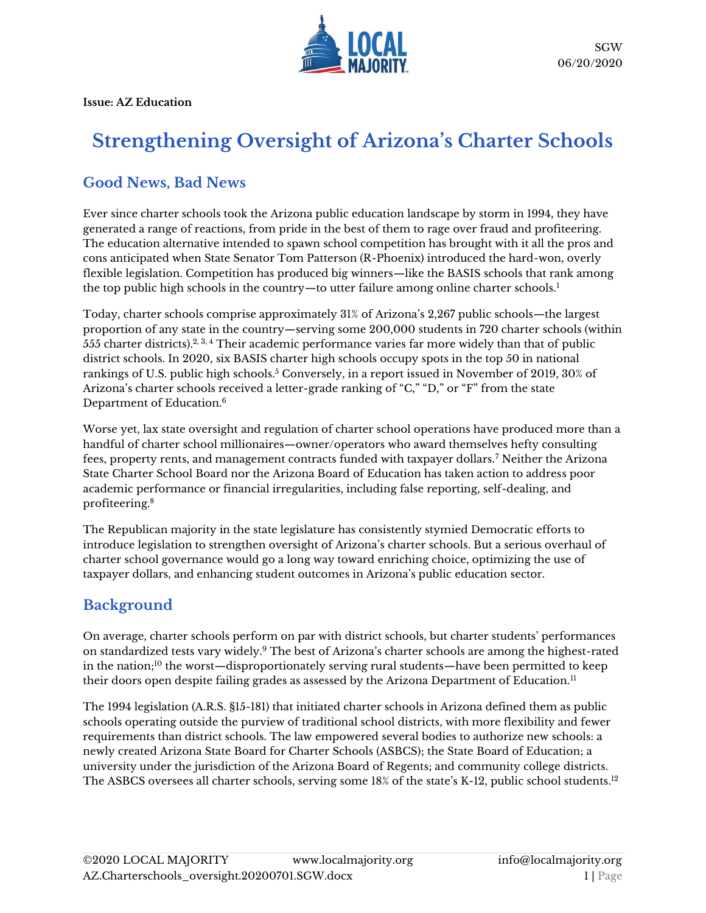

**Issue: AZ Education**

# **Strengthening Oversight of Arizona's Charter Schools**

# **Good News, Bad News**

Ever since charter schools took the Arizona public education landscape by storm in 1994, they have generated a range of reactions, from pride in the best of them to rage over fraud and profiteering. The education alternative intended to spawn school competition has brought with it all the pros and cons anticipated when State Senator Tom Patterson (R-Phoenix) introduced the hard-won, overly flexible legislation. Competition has produced big winners—like the BASIS schools that rank among the top public high schools in the country—to utter failure among online charter schools.<sup>1</sup>

Today, charter schools comprise approximately 31% of Arizona's 2,267 public schools—the largest proportion of any state in the country—serving some 200,000 students in 720 charter schools (within 555 charter districts). $2,3,4$  Their academic performance varies far more widely than that of public district schools. In 2020, six BASIS charter high schools occupy spots in the top 50 in national rankings of U.S. public high schools.<sup>5</sup> Conversely, in a report issued in November of 2019, 30% of Arizona's charter schools received a letter-grade ranking of "C," "D," or "F" from the state Department of Education.<sup>6</sup>

Worse yet, lax state oversight and regulation of charter school operations have produced more than a handful of charter school millionaires—owner/operators who award themselves hefty consulting fees, property rents, and management contracts funded with taxpayer dollars.<sup>7</sup> Neither the Arizona State Charter School Board nor the Arizona Board of Education has taken action to address poor academic performance or financial irregularities, including false reporting, self-dealing, and profiteering.<sup>8</sup>

The Republican majority in the state legislature has consistently stymied Democratic efforts to introduce legislation to strengthen oversight of Arizona's charter schools. But a serious overhaul of charter school governance would go a long way toward enriching choice, optimizing the use of taxpayer dollars, and enhancing student outcomes in Arizona's public education sector.

# **Background**

On average, charter schools perform on par with district schools, but charter students' performances on standardized tests vary widely.<sup>9</sup> The best of Arizona's charter schools are among the highest-rated in the nation;<sup>10</sup> the worst—disproportionately serving rural students—have been permitted to keep their doors open despite failing grades as assessed by the Arizona Department of Education.<sup>11</sup>

The 1994 legislation [\(A.R.S. §15-181\)](https://www.azleg.gov/viewdocument/?docName=https://www.azleg.gov/ars/15/00181.htm) that initiated charter schools in Arizona defined them as public schools operating outside the purview of traditional school districts, with more flexibility and fewer requirements than district schools. The law empowered several bodies to authorize new schools: a newly created Arizona State Board for Charter Schools (ASBCS); the State Board of Education; a university under the jurisdiction of the Arizona Board of Regents; and community college districts. The ASBCS oversees all charter schools, serving some 18% of the state's K-12, public school students. 12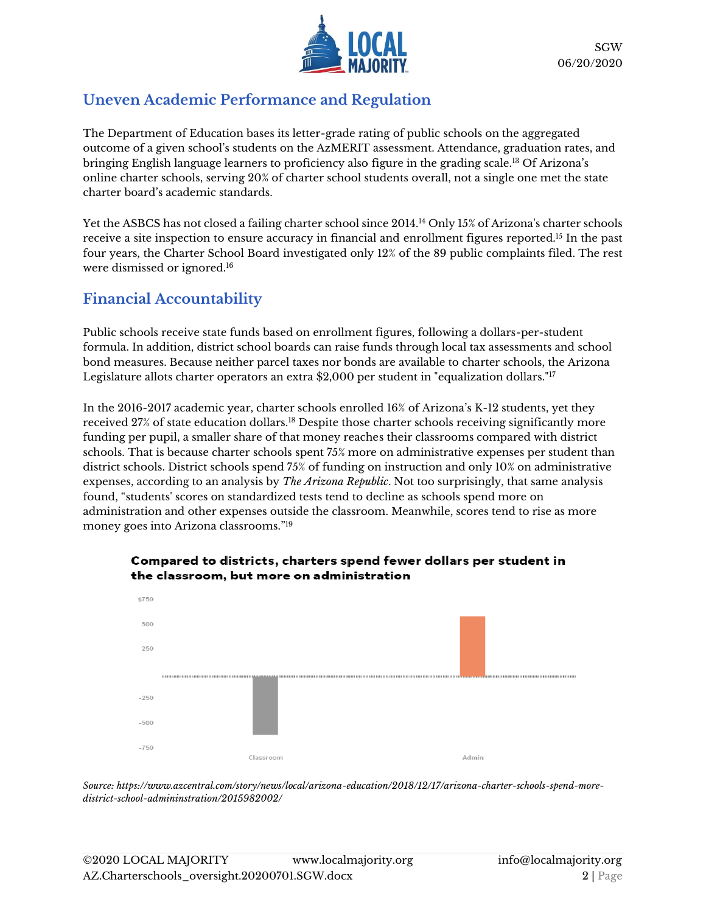

### **Uneven Academic Performance and Regulation**

The Department of Education bases its letter-grade rating of public schools on the aggregated outcome of a given school's students on the AzMERIT assessment. Attendance, graduation rates, and bringing English language learners to proficiency also figure in the grading scale.<sup>13</sup> Of Arizona's online charter schools, serving 20% of charter school students overall, not a single one met the state charter board's academic standards.

Yet the ASBCS has not closed a failing charter school since 2014.<sup>14</sup> Only 15% of Arizona's charter schools receive a site inspection to ensure accuracy in financial and enrollment figures reported.<sup>15</sup> In the past four years, the Charter School Board investigated only 12% of the 89 public complaints filed. The rest were dismissed or ignored.<sup>16</sup>

# **Financial Accountability**

Public schools receive state funds based on enrollment figures, following a dollars-per-student formula. In addition, district school boards can raise funds through local tax assessments and school bond measures. Because neither parcel taxes nor bonds are available to charter schools, the Arizona Legislature allots charter operators an extra \$2,000 per student in "equalization dollars."<sup>17</sup>

In the 2016-2017 academic year, charter schools enrolled 16% of Arizona's K-12 students, yet they received 27% of state education dollars.<sup>18</sup> Despite those charter schools receiving significantly more funding per pupil, a smaller share of that money reaches their classrooms compared with district schools. That is because charter schools spent 75% more on administrative expenses per student than district schools. District schools spend 75% of funding on instruction and only 10% on administrative expenses, according to an analysis by *The Arizona Republic*. Not too surprisingly, that same analysis found, "students' scores on standardized tests tend to decline as schools spend more on administration and other expenses outside the classroom. Meanwhile, scores tend to rise as more money goes into Arizona classrooms." 19



#### Compared to districts, charters spend fewer dollars per student in the classroom, but more on administration

*Source[: https://www.azcentral.com/story/news/local/arizona-education/2018/12/17/arizona-charter-schools-spend-more](https://www.azcentral.com/story/news/local/arizona-education/2018/12/17/arizona-charter-schools-spend-more-district-school-admininstration/2015982002/)[district-school-admininstration/2015982002/](https://www.azcentral.com/story/news/local/arizona-education/2018/12/17/arizona-charter-schools-spend-more-district-school-admininstration/2015982002/)*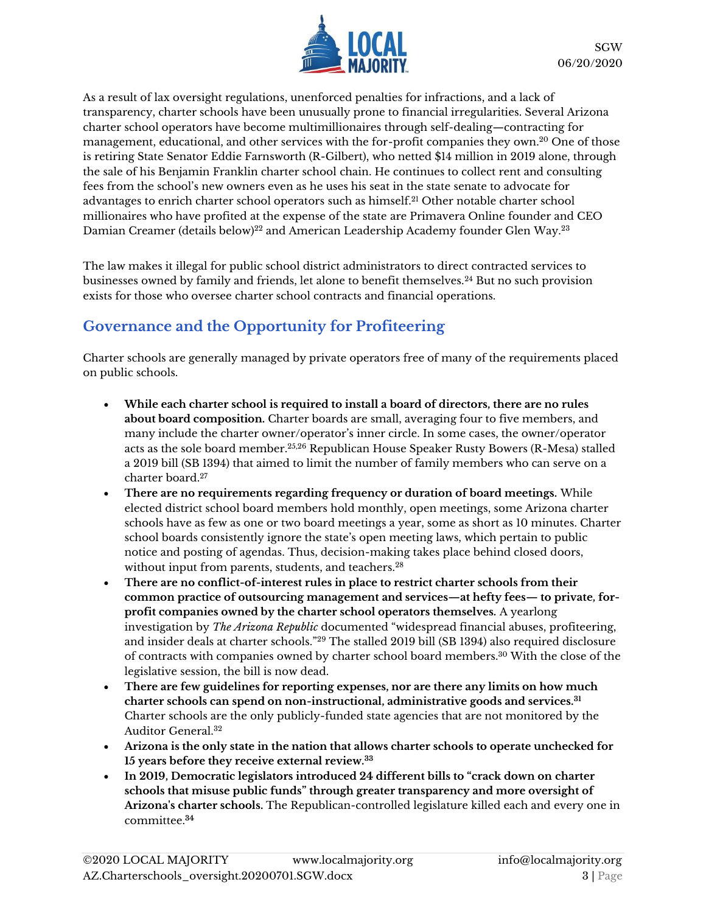

As a result of lax oversight regulations, unenforced penalties for infractions, and a lack of transparency, charter schools have been unusually prone to financial irregularities. [Several Arizona](https://www.azcentral.com/story/news/local/arizona-education/2018/08/22/arizona-charter-schools-public-education-funding/1013468002/)  [charter school operators have become multimillionaires](https://www.azcentral.com/story/news/local/arizona-education/2018/08/22/arizona-charter-schools-public-education-funding/1013468002/) through self-dealing—contracting for management, educational, and other services with the for-profit companies they own.<sup>20</sup> One of those is retiring State Senator Eddie Farnsworth (R-Gilbert), who netted \$14 million in 2019 alone, through the sale of his Benjamin Franklin charter school chain. He continues to collect rent and consulting fees from the school's new owners even as he uses his seat in the state senate to advocate for advantages to enrich charter school operators such as himself.<sup>21</sup> Other notable charter school millionaires who have profited at the expense of the state are Primavera Online founder and CEO Damian Creamer (details below) <sup>22</sup> and American Leadership Academy founder Glen Way.<sup>23</sup>

The law makes it illegal for public school district administrators to direct contracted services to businesses owned by family and friends, let alone to benefit themselves.<sup>24</sup> But no such provision exists for those who oversee charter school contracts and financial operations.

# **Governance and the Opportunity for Profiteering**

Charter schools are generally managed by private operators free of many of the requirements placed on public schools.

- **While each charter school is required to install a board of directors, there are no rules about board composition.** Charter boards are small, averaging four to five members, and many include the charter owner/operator's inner circle. In some cases, the owner/operator acts as the sole board member.25,26 Republican House Speaker Rusty Bowers (R-Mesa) stalled a 2019 bill (SB 1394) that aimed to limit the number of family members who can serve on a charter board.<sup>27</sup>
- **There are no requirements regarding frequency or duration of board meetings.** While elected district school board members hold monthly, open meetings, some Arizona charter schools have as few as one or two board meetings a year, some as short as 10 minutes. Charter school boards consistently ignore the state's open meeting laws, which pertain to public notice and posting of agendas. Thus, decision-making takes place behind closed doors, without input from parents, students, and teachers.<sup>28</sup>
- **There are no conflict-of-interest rules in place to restrict charter schools from their common practice of outsourcing management and services—at hefty fees— to private, forprofit companies owned by the charter school operators themselves.** A yearlong investigation by *The Arizona Republic* documented "widespread financial abuses, profiteering, and insider deals at charter schools."<sup>29</sup> The stalled 2019 bill (SB 1394) also required disclosure of contracts with companies owned by charter school board members.<sup>30</sup> With the close of the legislative session, the bill is now dead.
- **There are few guidelines for reporting expenses, nor are there any limits on how much charter schools can spend on non-instructional, administrative goods and services.<sup>31</sup>** Charter schools are the only publicly-funded state agencies that are not monitored by the Auditor General.<sup>32</sup>
- **Arizona is the only state in the nation that allows charter schools to operate unchecked for 15 years before they receive external review.<sup>33</sup>**
- **In 2019, Democratic legislators introduced 24 different bills to "crack down on charter schools that misuse public funds" through greater transparency and more oversight of Arizona's charter schools.** The Republican-controlled legislature killed each and every one in committee.**34**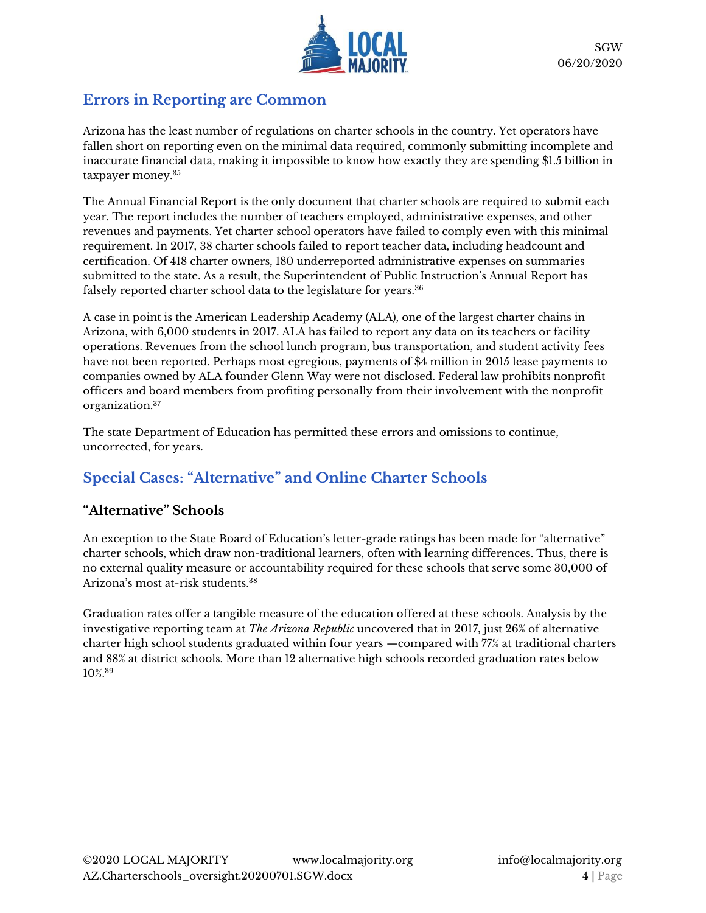

### **Errors in Reporting are Common**

Arizona has the least number of regulations on charter schools in the country. Yet operators have fallen short on reporting even on the minimal data required, commonly submitting incomplete and inaccurate financial data, making it impossible to know how exactly they are spending \$1.5 billion in taxpayer money.<sup>35</sup>

The Annual Financial Report is the only document that charter schools are required to submit each year. The report includes the number of teachers employed, administrative expenses, and other revenues and payments. Yet charter school operators have failed to comply even with this minimal requirement. In 2017, 38 charter schools failed to report teacher data, including headcount and certification. Of 418 charter owners, 180 underreported administrative expenses on summaries submitted to the state. As a result, the Superintendent of Public Instruction's Annual Report has falsely reported charter school data to the legislature for years.<sup>36</sup>

A case in point is the American Leadership Academy (ALA), one of the largest charter chains in Arizona, with 6,000 students in 2017. ALA has failed to report any data on its teachers or facility operations. Revenues from the school lunch program, bus transportation, and student activity fees have not been reported. Perhaps most egregious, payments of \$4 million in 2015 lease payments to companies owned by ALA founder Glenn Way were not disclosed. Federal law prohibits nonprofit officers and board members from profiting personally from their involvement with the nonprofit organization.<sup>37</sup>

The state Department of Education has permitted these errors and omissions to continue, uncorrected, for years.

# **Special Cases: "Alternative" and Online Charter Schools**

### **"Alternative" Schools**

An exception to the State Board of Education's letter-grade ratings has been made for "alternative" charter schools, which draw non-traditional learners, often with learning differences. Thus, there is no external quality measure or accountability required for these schools that serve some 30,000 of Arizona's most at-risk students.<sup>38</sup>

Graduation rates offer a tangible measure of the education offered at these schools. Analysis by the investigative reporting team at *The Arizona Republic* uncovered that in 2017, just 26% of alternative charter high school students graduated within four years —compared with 77% at traditional charters and 88% at district schools. More than 12 alternative high schools recorded graduation rates below 10%. 39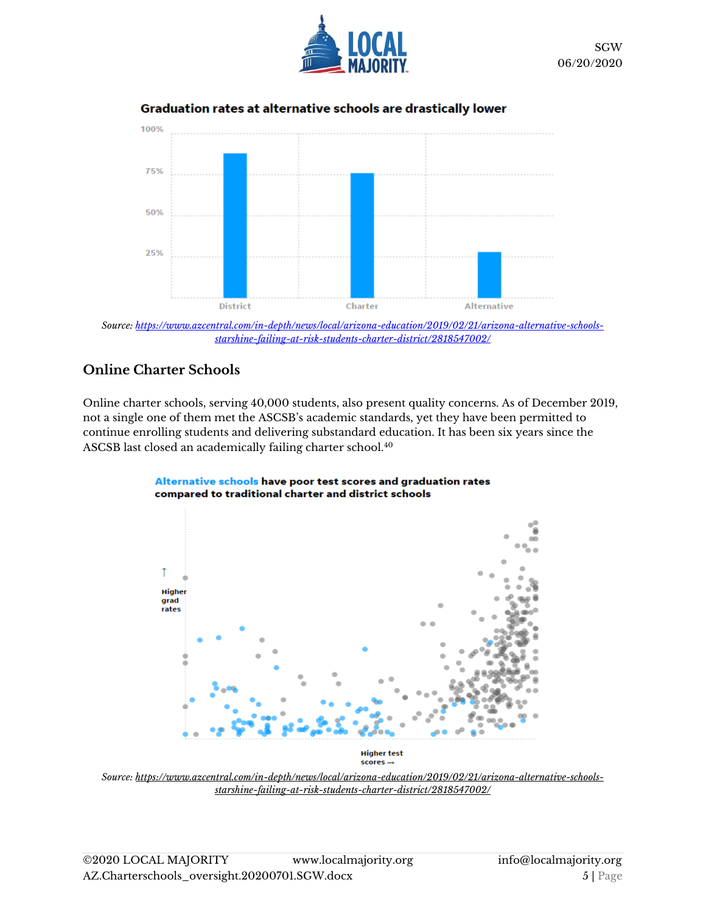



#### Graduation rates at alternative schools are drastically lower

*Source[: https://www.azcentral.com/in-depth/news/local/arizona-education/2019/02/21/arizona-alternative-schools](https://www.azcentral.com/in-depth/news/local/arizona-education/2019/02/21/arizona-alternative-schools-starshine-failing-at-risk-students-charter-district/2818547002/)[starshine-failing-at-risk-students-charter-district/2818547002/](https://www.azcentral.com/in-depth/news/local/arizona-education/2019/02/21/arizona-alternative-schools-starshine-failing-at-risk-students-charter-district/2818547002/)*

#### **Online Charter Schools**

Online charter schools, serving 40,000 students, also present quality concerns. As of December 2019, not a single one of them met the ASCSB's academic standards, yet they have been permitted to continue enrolling students and delivering substandard education. It has been six years since the ASCSB last closed an academically failing charter school.<sup>40</sup>



Alternative schools have poor test scores and graduation rates compared to traditional charter and district schools

**Higher test**  $scores \rightarrow$ 

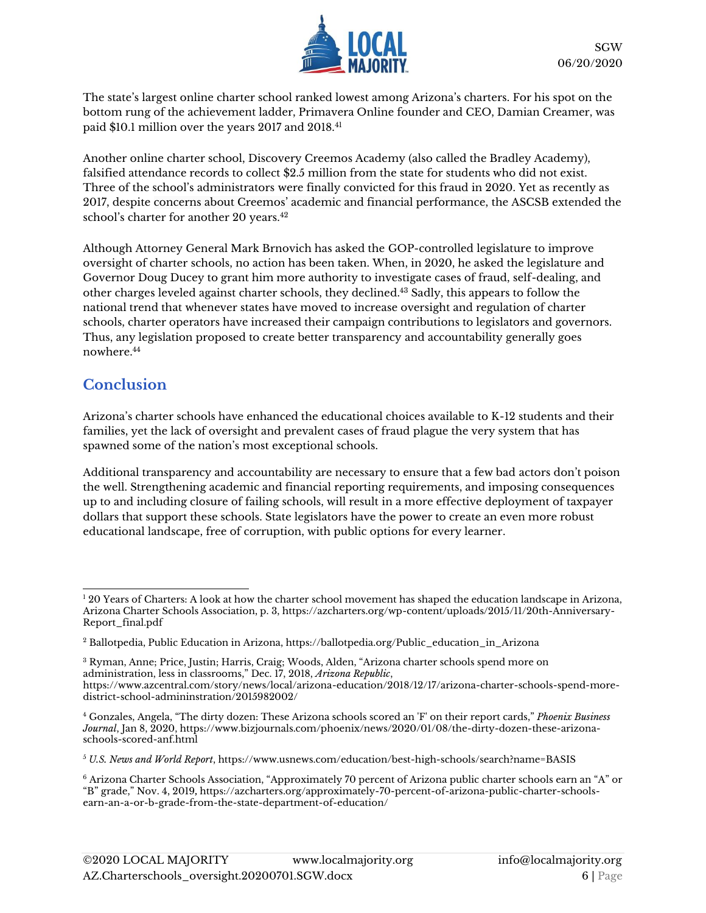

The state's largest online charter school ranked lowest among Arizona's charters. For his spot on the bottom rung of the achievement ladder, Primavera Online founder and CEO, Damian Creamer, was paid \$10.1 million over the years 2017 and 2018.<sup>41</sup>

Another online charter school, Discovery Creemos Academy (also called the Bradley Academy), falsified attendance records to collect \$2.5 million from the state for students who did not exist. Three of the school's administrators were finally convicted for this fraud in 2020. Yet as recently as 2017, despite concerns about Creemos' academic and financial performance, the ASCSB extended the school's charter for another 20 years.<sup>42</sup>

Although Attorney General Mark Brnovich has asked the GOP-controlled legislature to improve oversight of charter schools, no action has been taken. When, in 2020, he asked the legislature and Governor Doug Ducey to grant him more authority to investigate cases of fraud, self-dealing, and other charges leveled against charter schools, they declined.<sup>43</sup> Sadly, this appears to follow the national trend that whenever states have moved to increase oversight and regulation of charter schools, charter operators have increased their campaign contributions to legislators and governors. Thus, any legislation proposed to create better transparency and accountability generally goes nowhere.<sup>44</sup>

### **Conclusion**

Arizona's charter schools have enhanced the educational choices available to K-12 students and their families, yet the lack of oversight and prevalent cases of fraud plague the very system that has spawned some of the nation's most exceptional schools.

Additional transparency and accountability are necessary to ensure that a few bad actors don't poison the well. Strengthening academic and financial reporting requirements, and imposing consequences up to and including closure of failing schools, will result in a more effective deployment of taxpayer dollars that support these schools. State legislators have the power to create an even more robust educational landscape, free of corruption, with public options for every learner.

<sup>&</sup>lt;sup>1</sup> 20 Years of Charters: A look at how the charter school movement has shaped the education landscape in Arizona, Arizona Charter Schools Association, p. 3, [https://azcharters.org/wp-content/uploads/2015/11/20th-Anniversary-](https://azcharters.org/wp-content/uploads/2015/11/20th-Anniversary-Report_final.pdf)[Report\\_final.pdf](https://azcharters.org/wp-content/uploads/2015/11/20th-Anniversary-Report_final.pdf)

<sup>2</sup> Ballotpedia, Public Education in Arizona, [https://ballotpedia.org/Public\\_education\\_in\\_Arizona](https://ballotpedia.org/Public_education_in_Arizona)

<sup>3</sup> Ryman, Anne; Price, Justin; Harris, Craig; Woods, Alden, "Arizona charter schools spend more on administration, less in classrooms," Dec. 17, 2018, *Arizona Republic*,

[https://www.azcentral.com/story/news/local/arizona-education/2018/12/17/arizona-charter-schools-spend-more](https://www.azcentral.com/story/news/local/arizona-education/2018/12/17/arizona-charter-schools-spend-more-district-school-admininstration/2015982002/)[district-school-admininstration/2015982002/](https://www.azcentral.com/story/news/local/arizona-education/2018/12/17/arizona-charter-schools-spend-more-district-school-admininstration/2015982002/)

<sup>4</sup> Gonzales, Angela, "The dirty dozen: These Arizona schools scored an 'F' on their report cards," *Phoenix Business Journal*, Jan 8, 2020, [https://www.bizjournals.com/phoenix/news/2020/01/08/the-dirty-dozen-these-arizona](https://www.bizjournals.com/phoenix/news/2020/01/08/the-dirty-dozen-these-arizona-schools-scored-anf.html)[schools-scored-anf.html](https://www.bizjournals.com/phoenix/news/2020/01/08/the-dirty-dozen-these-arizona-schools-scored-anf.html)

<sup>5</sup> *U.S. News and World Report*, <https://www.usnews.com/education/best-high-schools/search?name=BASIS>

<sup>6</sup> Arizona Charter Schools Association, "Approximately 70 percent of Arizona public charter schools earn an "A" or "B" grade," Nov. 4, 2019**,** [https://azcharters.org/approximately-70-percent-of-arizona-public-charter-schools](https://azcharters.org/approximately-70-percent-of-arizona-public-charter-schools-earn-an-a-or-b-grade-from-the-state-department-of-education/)[earn-an-a-or-b-grade-from-the-state-department-of-education/](https://azcharters.org/approximately-70-percent-of-arizona-public-charter-schools-earn-an-a-or-b-grade-from-the-state-department-of-education/)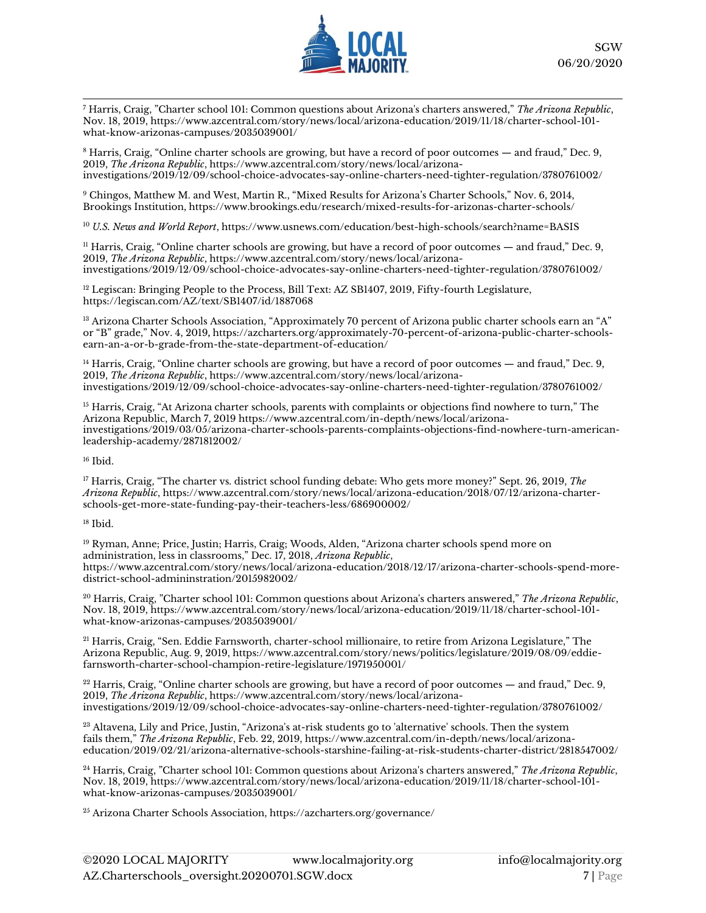

<sup>7</sup> Harris, Craig, "Charter school 101: Common questions about Arizona's charters answered," *The Arizona Republic*, Nov. 18, 2019[, https://www.azcentral.com/story/news/local/arizona-education/2019/11/18/charter-school-101](https://www.azcentral.com/story/news/local/arizona-education/2019/11/18/charter-school-101-what-know-arizonas-campuses/2035039001/) [what-know-arizonas-campuses/2035039001/](https://www.azcentral.com/story/news/local/arizona-education/2019/11/18/charter-school-101-what-know-arizonas-campuses/2035039001/)

<sup>8</sup> Harris, Craig, "Online charter schools are growing, but have a record of poor outcomes — and fraud," Dec. 9, 2019, *The Arizona Republic*[, https://www.azcentral.com/story/news/local/arizona](https://www.azcentral.com/story/news/local/arizona-investigations/2019/12/09/school-choice-advocates-say-online-charters-need-tighter-regulation/3780761002/)[investigations/2019/12/09/school-choice-advocates-say-online-charters-need-tighter-regulation/3780761002/](https://www.azcentral.com/story/news/local/arizona-investigations/2019/12/09/school-choice-advocates-say-online-charters-need-tighter-regulation/3780761002/)

<sup>9</sup> Chingos, Matthew M. and West, Martin R., "Mixed Results for Arizona's Charter Schools," Nov. 6, 2014, Brookings Institution,<https://www.brookings.edu/research/mixed-results-for-arizonas-charter-schools/>

<sup>10</sup> *U.S. News and World Report*[, https://www.usnews.com/education/best-high-schools/search?name=BASIS](https://www.usnews.com/education/best-high-schools/search?name=BASIS)

<sup>11</sup> Harris, Craig, "Online charter schools are growing, but have a record of poor outcomes — and fraud," Dec. 9, 2019, *The Arizona Republic*[, https://www.azcentral.com/story/news/local/arizona](https://www.azcentral.com/story/news/local/arizona-investigations/2019/12/09/school-choice-advocates-say-online-charters-need-tighter-regulation/3780761002/)[investigations/2019/12/09/school-choice-advocates-say-online-charters-need-tighter-regulation/3780761002/](https://www.azcentral.com/story/news/local/arizona-investigations/2019/12/09/school-choice-advocates-say-online-charters-need-tighter-regulation/3780761002/)

 $12$  Legiscan: Bringing People to the Process, Bill Text: AZ SB1407, 2019, Fifty-fourth Legislature, <https://legiscan.com/AZ/text/SB1407/id/1887068>

 $^{13}$  Arizona Charter Schools Association, "Approximately 70 percent of Arizona public charter schools earn an "A" or "B" grade," Nov. 4, 2019**,** [https://azcharters.org/approximately-70-percent-of-arizona-public-charter-schools](https://azcharters.org/approximately-70-percent-of-arizona-public-charter-schools-earn-an-a-or-b-grade-from-the-state-department-of-education/)[earn-an-a-or-b-grade-from-the-state-department-of-education/](https://azcharters.org/approximately-70-percent-of-arizona-public-charter-schools-earn-an-a-or-b-grade-from-the-state-department-of-education/)

<sup>14</sup> Harris, Craig, "Online charter schools are growing, but have a record of poor outcomes — and fraud," Dec. 9, 2019, *The Arizona Republic*[, https://www.azcentral.com/story/news/local/arizona](https://www.azcentral.com/story/news/local/arizona-investigations/2019/12/09/school-choice-advocates-say-online-charters-need-tighter-regulation/3780761002/)[investigations/2019/12/09/school-choice-advocates-say-online-charters-need-tighter-regulation/3780761002/](https://www.azcentral.com/story/news/local/arizona-investigations/2019/12/09/school-choice-advocates-say-online-charters-need-tighter-regulation/3780761002/)

<sup>15</sup> Harris, Craig, "At Arizona charter schools, parents with complaints or objections find nowhere to turn," The Arizona Republic, March 7, 2019 [https://www.azcentral.com/in-depth/news/local/arizona](https://www.azcentral.com/in-depth/news/local/arizona-investigations/2019/03/05/arizona-charter-schools-parents-complaints-objections-find-nowhere-turn-american-leadership-academy/2871812002/)[investigations/2019/03/05/arizona-charter-schools-parents-complaints-objections-find-nowhere-turn-american](https://www.azcentral.com/in-depth/news/local/arizona-investigations/2019/03/05/arizona-charter-schools-parents-complaints-objections-find-nowhere-turn-american-leadership-academy/2871812002/)[leadership-academy/2871812002/](https://www.azcentral.com/in-depth/news/local/arizona-investigations/2019/03/05/arizona-charter-schools-parents-complaints-objections-find-nowhere-turn-american-leadership-academy/2871812002/)

<sup>16</sup> Ibid.

<sup>17</sup> Harris, Craig, "The charter vs. district school funding debate: Who gets more money?" Sept. 26, 2019, *The Arizona Republic*[, https://www.azcentral.com/story/news/local/arizona-education/2018/07/12/arizona-charter](https://www.azcentral.com/story/news/local/arizona-education/2018/07/12/arizona-charter-schools-get-more-state-funding-pay-their-teachers-less/686900002/)[schools-get-more-state-funding-pay-their-teachers-less/686900002/](https://www.azcentral.com/story/news/local/arizona-education/2018/07/12/arizona-charter-schools-get-more-state-funding-pay-their-teachers-less/686900002/)

 $18$  Ibid.

<sup>19</sup> Ryman, Anne; Price, Justin; Harris, Craig; Woods, Alden, "Arizona charter schools spend more on administration, less in classrooms," Dec. 17, 2018, *Arizona Republic*, [https://www.azcentral.com/story/news/local/arizona-education/2018/12/17/arizona-charter-schools-spend-more](https://www.azcentral.com/story/news/local/arizona-education/2018/12/17/arizona-charter-schools-spend-more-district-school-admininstration/2015982002/)[district-school-admininstration/2015982002/](https://www.azcentral.com/story/news/local/arizona-education/2018/12/17/arizona-charter-schools-spend-more-district-school-admininstration/2015982002/)

<sup>20</sup> Harris, Craig, "Charter school 101: Common questions about Arizona's charters answered," *The Arizona Republic*, Nov. 18, 2019[, https://www.azcentral.com/story/news/local/arizona-education/2019/11/18/charter-school-101](https://www.azcentral.com/story/news/local/arizona-education/2019/11/18/charter-school-101-what-know-arizonas-campuses/2035039001/) [what-know-arizonas-campuses/2035039001/](https://www.azcentral.com/story/news/local/arizona-education/2019/11/18/charter-school-101-what-know-arizonas-campuses/2035039001/)

<sup>21</sup> Harris, Craig, "Sen. Eddie Farnsworth, charter-school millionaire, to retire from Arizona Legislature," The Arizona Republic, Aug. 9, 2019, [https://www.azcentral.com/story/news/politics/legislature/2019/08/09/eddie](https://www.azcentral.com/story/news/politics/legislature/2019/08/09/eddie-farnsworth-charter-school-champion-retire-legislature/1971950001/)[farnsworth-charter-school-champion-retire-legislature/1971950001/](https://www.azcentral.com/story/news/politics/legislature/2019/08/09/eddie-farnsworth-charter-school-champion-retire-legislature/1971950001/)

 $22$  Harris, Craig, "Online charter schools are growing, but have a record of poor outcomes — and fraud," Dec. 9, 2019, *The Arizona Republic*[, https://www.azcentral.com/story/news/local/arizona](https://www.azcentral.com/story/news/local/arizona-investigations/2019/12/09/school-choice-advocates-say-online-charters-need-tighter-regulation/3780761002/)[investigations/2019/12/09/school-choice-advocates-say-online-charters-need-tighter-regulation/3780761002/](https://www.azcentral.com/story/news/local/arizona-investigations/2019/12/09/school-choice-advocates-say-online-charters-need-tighter-regulation/3780761002/)

<sup>23</sup> Altavena, Lily and Price, Justin, "Arizona's at-risk students go to 'alternative' schools. Then the system fails them," *The Arizona Republic*, Feb. 22, 2019[, https://www.azcentral.com/in-depth/news/local/arizona](https://www.azcentral.com/in-depth/news/local/arizona-education/2019/02/21/arizona-alternative-schools-starshine-failing-at-risk-students-charter-district/2818547002/)[education/2019/02/21/arizona-alternative-schools-starshine-failing-at-risk-students-charter-district/2818547002/](https://www.azcentral.com/in-depth/news/local/arizona-education/2019/02/21/arizona-alternative-schools-starshine-failing-at-risk-students-charter-district/2818547002/)

<sup>24</sup> Harris, Craig, "Charter school 101: Common questions about Arizona's charters answered," *The Arizona Republic*, Nov. 18, 2019[, https://www.azcentral.com/story/news/local/arizona-education/2019/11/18/charter-school-101](https://www.azcentral.com/story/news/local/arizona-education/2019/11/18/charter-school-101-what-know-arizonas-campuses/2035039001/) [what-know-arizonas-campuses/2035039001/](https://www.azcentral.com/story/news/local/arizona-education/2019/11/18/charter-school-101-what-know-arizonas-campuses/2035039001/)

<sup>25</sup> Arizona Charter Schools Association,<https://azcharters.org/governance/>